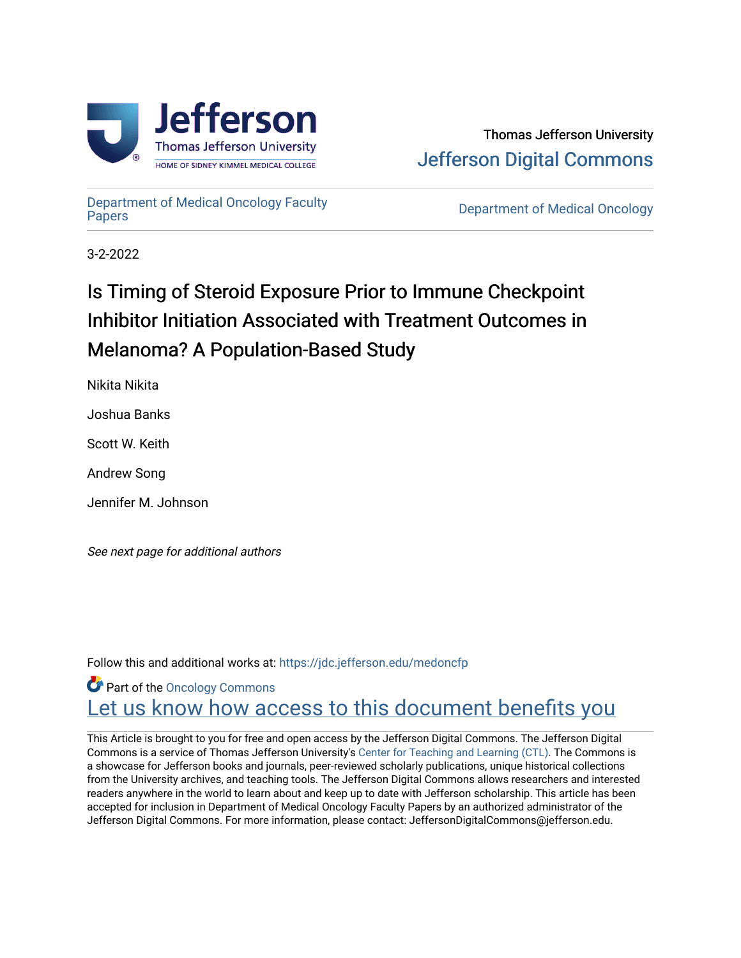



[Department of Medical Oncology Faculty](https://jdc.jefferson.edu/medoncfp) 

**Department of Medical Oncology** 

3-2-2022

# Is Timing of Steroid Exposure Prior to Immune Checkpoint Inhibitor Initiation Associated with Treatment Outcomes in Melanoma? A Population-Based Study

Nikita Nikita

Joshua Banks

Scott W. Keith

Andrew Song

Jennifer M. Johnson

See next page for additional authors

Follow this and additional works at: [https://jdc.jefferson.edu/medoncfp](https://jdc.jefferson.edu/medoncfp?utm_source=jdc.jefferson.edu%2Fmedoncfp%2F175&utm_medium=PDF&utm_campaign=PDFCoverPages)

**Part of the Oncology Commons** Let us know how access to this document benefits you

This Article is brought to you for free and open access by the Jefferson Digital Commons. The Jefferson Digital Commons is a service of Thomas Jefferson University's [Center for Teaching and Learning \(CTL\)](http://www.jefferson.edu/university/teaching-learning.html/). The Commons is a showcase for Jefferson books and journals, peer-reviewed scholarly publications, unique historical collections from the University archives, and teaching tools. The Jefferson Digital Commons allows researchers and interested readers anywhere in the world to learn about and keep up to date with Jefferson scholarship. This article has been accepted for inclusion in Department of Medical Oncology Faculty Papers by an authorized administrator of the Jefferson Digital Commons. For more information, please contact: JeffersonDigitalCommons@jefferson.edu.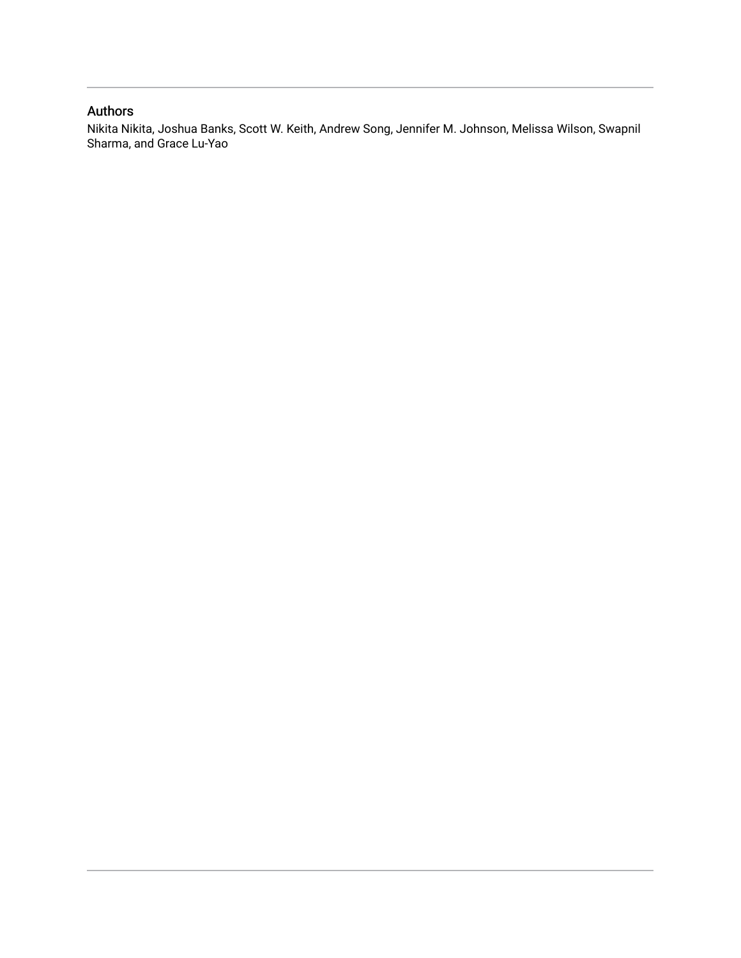# Authors

Nikita Nikita, Joshua Banks, Scott W. Keith, Andrew Song, Jennifer M. Johnson, Melissa Wilson, Swapnil Sharma, and Grace Lu-Yao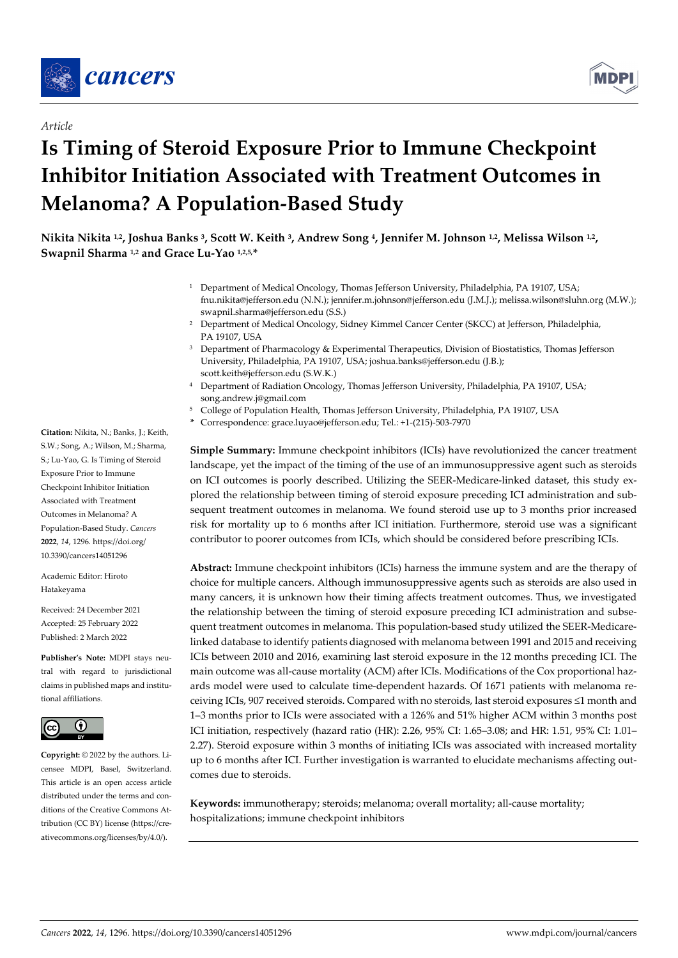

*Article*



# **Is Timing of Steroid Exposure Prior to Immune Checkpoint Inhibitor Initiation Associated with Treatment Outcomes in Melanoma? A Population-Based Study**

**Nikita Nikita 1,2, Joshua Banks 3, Scott W. Keith 3, Andrew Song 4, Jennifer M. Johnson 1,2, Melissa Wilson 1,2, Swapnil Sharma 1,2 and Grace Lu-Yao 1,2,5, \***

- <sup>1</sup> Department of Medical Oncology, Thomas Jefferson University, Philadelphia, PA 19107, USA; fnu.nikita@jefferson.edu (N.N.); jennifer.m.johnson@jefferson.edu (J.M.J.); melissa.wilson@sluhn.org (M.W.); swapnil.sharma@jefferson.edu (S.S.)
- <sup>2</sup> Department of Medical Oncology, Sidney Kimmel Cancer Center (SKCC) at Jefferson, Philadelphia, PA 19107, USA
- <sup>3</sup> Department of Pharmacology & Experimental Therapeutics, Division of Biostatistics, Thomas Jefferson University, Philadelphia, PA 19107, USA; joshua.banks@jefferson.edu (J.B.); scott.keith@jefferson.edu (S.W.K.)
- <sup>4</sup> Department of Radiation Oncology, Thomas Jefferson University, Philadelphia, PA 19107, USA; song.andrew.j@gmail.com
- <sup>5</sup> College of Population Health, Thomas Jefferson University, Philadelphia, PA 19107, USA
- **\*** Correspondence: grace.luyao@jefferson.edu; Tel.: +1-(215)-503-7970

**Simple Summary:** Immune checkpoint inhibitors (ICIs) have revolutionized the cancer treatment landscape, yet the impact of the timing of the use of an immunosuppressive agent such as steroids on ICI outcomes is poorly described. Utilizing the SEER-Medicare-linked dataset, this study explored the relationship between timing of steroid exposure preceding ICI administration and subsequent treatment outcomes in melanoma. We found steroid use up to 3 months prior increased risk for mortality up to 6 months after ICI initiation. Furthermore, steroid use was a significant contributor to poorer outcomes from ICIs, which should be considered before prescribing ICIs.

**Abstract:** Immune checkpoint inhibitors (ICIs) harness the immune system and are the therapy of choice for multiple cancers. Although immunosuppressive agents such as steroids are also used in many cancers, it is unknown how their timing affects treatment outcomes. Thus, we investigated the relationship between the timing of steroid exposure preceding ICI administration and subsequent treatment outcomes in melanoma. This population-based study utilized the SEER-Medicarelinked database to identify patients diagnosed with melanoma between 1991 and 2015 and receiving ICIs between 2010 and 2016, examining last steroid exposure in the 12 months preceding ICI. The main outcome was all-cause mortality (ACM) after ICIs. Modifications of the Cox proportional hazards model were used to calculate time-dependent hazards. Of 1671 patients with melanoma receiving ICIs, 907 received steroids. Compared with no steroids, last steroid exposures ≤1 month and 1–3 months prior to ICIs were associated with a 126% and 51% higher ACM within 3 months post ICI initiation, respectively (hazard ratio (HR): 2.26, 95% CI: 1.65–3.08; and HR: 1.51, 95% CI: 1.01– 2.27). Steroid exposure within 3 months of initiating ICIs was associated with increased mortality up to 6 months after ICI. Further investigation is warranted to elucidate mechanisms affecting outcomes due to steroids.

**Keywords:** immunotherapy; steroids; melanoma; overall mortality; all-cause mortality; hospitalizations; immune checkpoint inhibitors

**Citation:** Nikita, N.; Banks, J.; Keith, S.W.; Song, A.; Wilson, M.; Sharma, S.; Lu-Yao, G. Is Timing of Steroid Exposure Prior to Immune Checkpoint Inhibitor Initiation Associated with Treatment Outcomes in Melanoma? A Population-Based Study. *Cancers*  **2022**, *14*, 1296. https://doi.org/ 10.3390/cancers14051296

Academic Editor: Hiroto Hatakeyama

Received: 24 December 2021 Accepted: 25 February 2022 Published: 2 March 2022

**Publisher's Note:** MDPI stays neutral with regard to jurisdictional claims in published maps and institutional affiliations.



**Copyright:** © 2022 by the authors. Licensee MDPI, Basel, Switzerland. This article is an open access article distributed under the terms and conditions of the Creative Commons Attribution (CC BY) license (https://creativecommons.org/licenses/by/4.0/).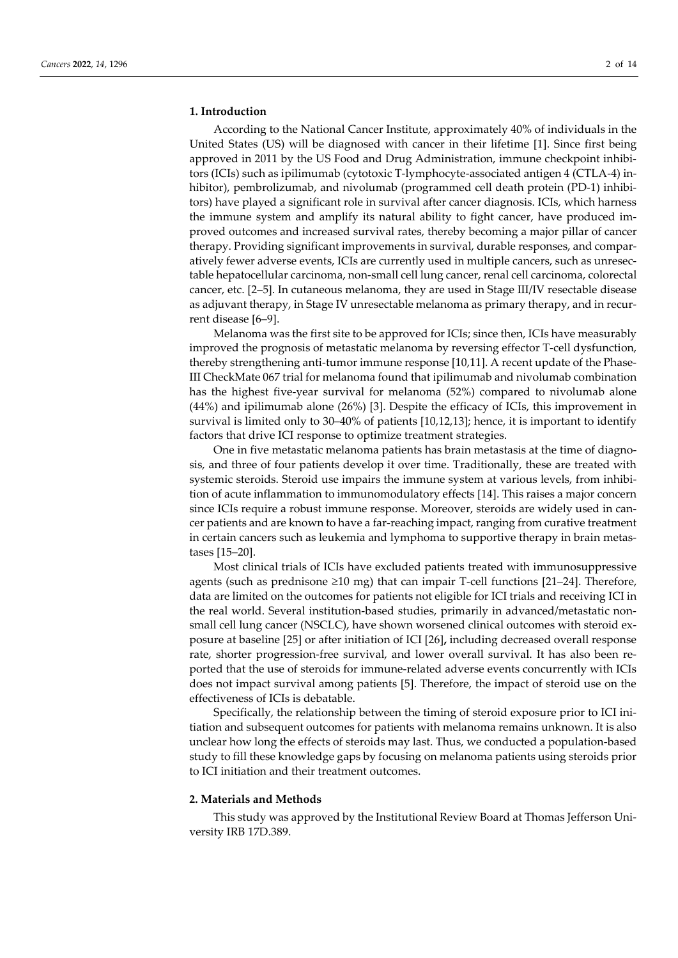# **1. Introduction**

According to the National Cancer Institute, approximately 40% of individuals in the United States (US) will be diagnosed with cancer in their lifetime [1]. Since first being approved in 2011 by the US Food and Drug Administration, immune checkpoint inhibitors (ICIs) such as ipilimumab (cytotoxic T-lymphocyte-associated antigen 4 (CTLA-4) inhibitor), pembrolizumab, and nivolumab (programmed cell death protein (PD-1) inhibitors) have played a significant role in survival after cancer diagnosis. ICIs, which harness the immune system and amplify its natural ability to fight cancer, have produced improved outcomes and increased survival rates, thereby becoming a major pillar of cancer therapy. Providing significant improvements in survival, durable responses, and comparatively fewer adverse events, ICIs are currently used in multiple cancers, such as unresectable hepatocellular carcinoma, non-small cell lung cancer, renal cell carcinoma, colorectal cancer, etc. [2–5]. In cutaneous melanoma, they are used in Stage III/IV resectable disease as adjuvant therapy, in Stage IV unresectable melanoma as primary therapy, and in recurrent disease [6–9].

Melanoma was the first site to be approved for ICIs; since then, ICIs have measurably improved the prognosis of metastatic melanoma by reversing effector T-cell dysfunction, thereby strengthening anti-tumor immune response [10,11]. A recent update of the Phase-III CheckMate 067 trial for melanoma found that ipilimumab and nivolumab combination has the highest five-year survival for melanoma (52%) compared to nivolumab alone (44%) and ipilimumab alone (26%) [3]. Despite the efficacy of ICIs, this improvement in survival is limited only to 30–40% of patients [10,12,13]; hence, it is important to identify factors that drive ICI response to optimize treatment strategies.

One in five metastatic melanoma patients has brain metastasis at the time of diagnosis, and three of four patients develop it over time. Traditionally, these are treated with systemic steroids. Steroid use impairs the immune system at various levels, from inhibition of acute inflammation to immunomodulatory effects [14]. This raises a major concern since ICIs require a robust immune response. Moreover, steroids are widely used in cancer patients and are known to have a far-reaching impact, ranging from curative treatment in certain cancers such as leukemia and lymphoma to supportive therapy in brain metastases [15–20].

Most clinical trials of ICIs have excluded patients treated with immunosuppressive agents (such as prednisone  $\geq 10$  mg) that can impair T-cell functions [21–24]. Therefore, data are limited on the outcomes for patients not eligible for ICI trials and receiving ICI in the real world. Several institution-based studies, primarily in advanced/metastatic nonsmall cell lung cancer (NSCLC), have shown worsened clinical outcomes with steroid exposure at baseline [25] or after initiation of ICI [26]**,** including decreased overall response rate, shorter progression-free survival, and lower overall survival. It has also been reported that the use of steroids for immune-related adverse events concurrently with ICIs does not impact survival among patients [5]. Therefore, the impact of steroid use on the effectiveness of ICIs is debatable.

Specifically, the relationship between the timing of steroid exposure prior to ICI initiation and subsequent outcomes for patients with melanoma remains unknown. It is also unclear how long the effects of steroids may last. Thus, we conducted a population-based study to fill these knowledge gaps by focusing on melanoma patients using steroids prior to ICI initiation and their treatment outcomes.

# **2. Materials and Methods**

This study was approved by the Institutional Review Board at Thomas Jefferson University IRB 17D.389.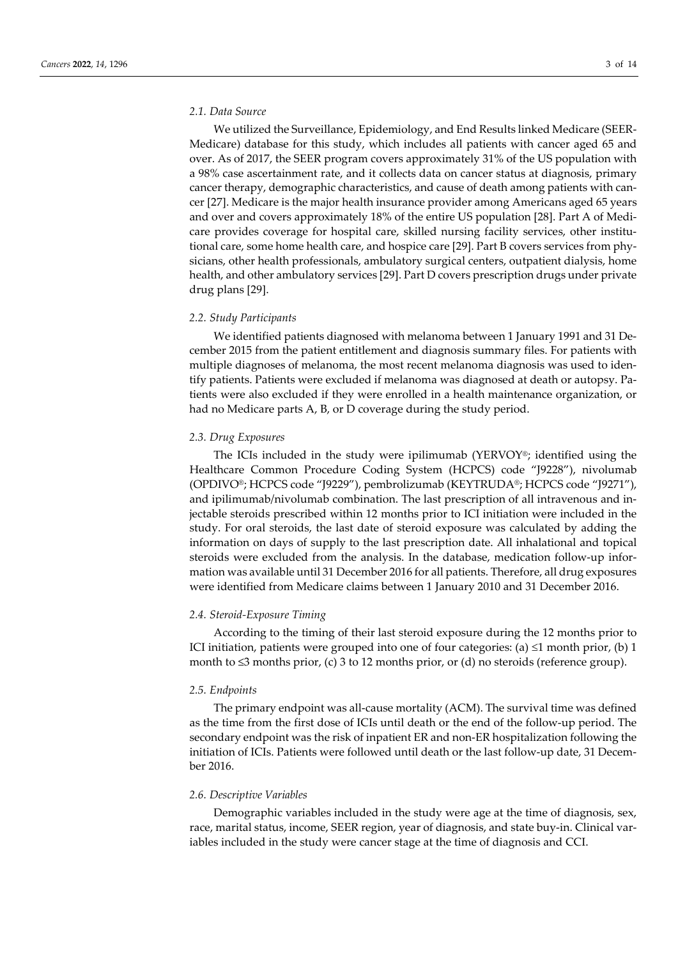# *2.1. Data Source*

We utilized the Surveillance, Epidemiology, and End Results linked Medicare (SEER-Medicare) database for this study, which includes all patients with cancer aged 65 and over. As of 2017, the SEER program covers approximately 31% of the US population with a 98% case ascertainment rate, and it collects data on cancer status at diagnosis, primary cancer therapy, demographic characteristics, and cause of death among patients with cancer [27]. Medicare is the major health insurance provider among Americans aged 65 years and over and covers approximately 18% of the entire US population [28]. Part A of Medicare provides coverage for hospital care, skilled nursing facility services, other institutional care, some home health care, and hospice care [29]. Part B covers services from physicians, other health professionals, ambulatory surgical centers, outpatient dialysis, home health, and other ambulatory services [29]. Part D covers prescription drugs under private drug plans [29].

#### *2.2. Study Participants*

We identified patients diagnosed with melanoma between 1 January 1991 and 31 December 2015 from the patient entitlement and diagnosis summary files. For patients with multiple diagnoses of melanoma, the most recent melanoma diagnosis was used to identify patients. Patients were excluded if melanoma was diagnosed at death or autopsy. Patients were also excluded if they were enrolled in a health maintenance organization, or had no Medicare parts A, B, or D coverage during the study period.

#### *2.3. Drug Exposures*

The ICIs included in the study were ipilimumab (YERVOY®; identified using the Healthcare Common Procedure Coding System (HCPCS) code "J9228"), nivolumab (OPDIVO®; HCPCS code "J9229"), pembrolizumab (KEYTRUDA®; HCPCS code "J9271"), and ipilimumab/nivolumab combination. The last prescription of all intravenous and injectable steroids prescribed within 12 months prior to ICI initiation were included in the study. For oral steroids, the last date of steroid exposure was calculated by adding the information on days of supply to the last prescription date. All inhalational and topical steroids were excluded from the analysis. In the database, medication follow-up information was available until 31 December 2016 for all patients. Therefore, all drug exposures were identified from Medicare claims between 1 January 2010 and 31 December 2016.

#### *2.4. Steroid-Exposure Timing*

According to the timing of their last steroid exposure during the 12 months prior to ICI initiation, patients were grouped into one of four categories: (a)  $\leq$ 1 month prior, (b) 1 month to  $\leq$ 3 months prior, (c) 3 to 12 months prior, or (d) no steroids (reference group).

# *2.5. Endpoints*

The primary endpoint was all-cause mortality (ACM). The survival time was defined as the time from the first dose of ICIs until death or the end of the follow-up period. The secondary endpoint was the risk of inpatient ER and non-ER hospitalization following the initiation of ICIs. Patients were followed until death or the last follow-up date, 31 December 2016.

#### *2.6. Descriptive Variables*

Demographic variables included in the study were age at the time of diagnosis, sex, race, marital status, income, SEER region, year of diagnosis, and state buy-in. Clinical variables included in the study were cancer stage at the time of diagnosis and CCI.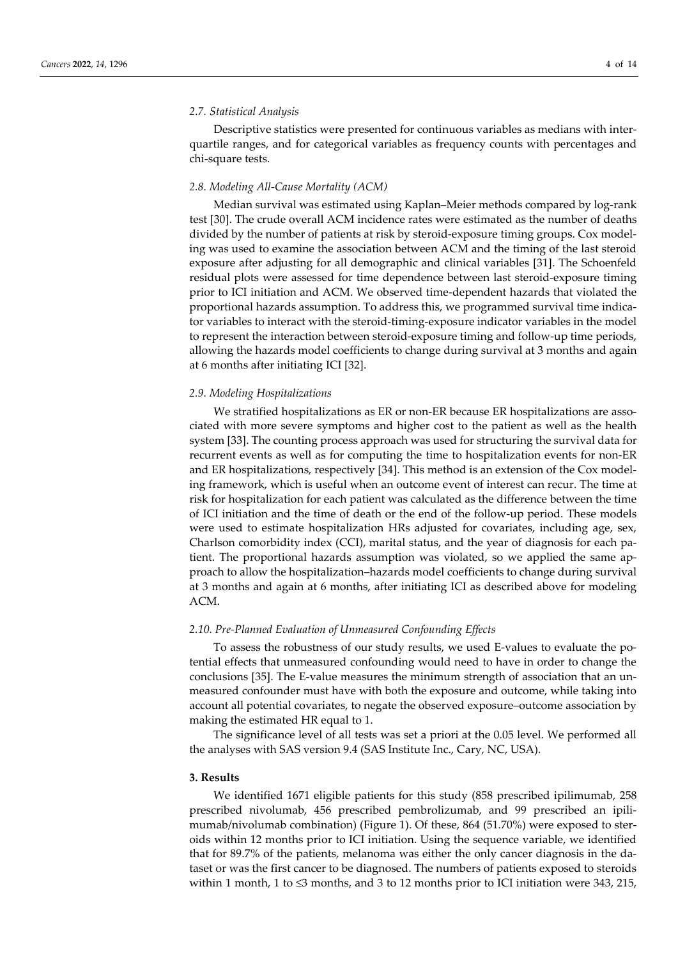# *2.7. Statistical Analysis*

Descriptive statistics were presented for continuous variables as medians with interquartile ranges, and for categorical variables as frequency counts with percentages and chi-square tests.

#### *2.8. Modeling All-Cause Mortality (ACM)*

Median survival was estimated using Kaplan–Meier methods compared by log-rank test [30]. The crude overall ACM incidence rates were estimated as the number of deaths divided by the number of patients at risk by steroid-exposure timing groups. Cox modeling was used to examine the association between ACM and the timing of the last steroid exposure after adjusting for all demographic and clinical variables [31]. The Schoenfeld residual plots were assessed for time dependence between last steroid-exposure timing prior to ICI initiation and ACM. We observed time-dependent hazards that violated the proportional hazards assumption. To address this, we programmed survival time indicator variables to interact with the steroid-timing-exposure indicator variables in the model to represent the interaction between steroid-exposure timing and follow-up time periods, allowing the hazards model coefficients to change during survival at 3 months and again at 6 months after initiating ICI [32].

# *2.9. Modeling Hospitalizations*

We stratified hospitalizations as ER or non-ER because ER hospitalizations are associated with more severe symptoms and higher cost to the patient as well as the health system [33]. The counting process approach was used for structuring the survival data for recurrent events as well as for computing the time to hospitalization events for non-ER and ER hospitalizations, respectively [34]. This method is an extension of the Cox modeling framework, which is useful when an outcome event of interest can recur. The time at risk for hospitalization for each patient was calculated as the difference between the time of ICI initiation and the time of death or the end of the follow-up period. These models were used to estimate hospitalization HRs adjusted for covariates, including age, sex, Charlson comorbidity index (CCI), marital status, and the year of diagnosis for each patient. The proportional hazards assumption was violated, so we applied the same approach to allow the hospitalization–hazards model coefficients to change during survival at 3 months and again at 6 months, after initiating ICI as described above for modeling ACM.

#### *2.10. Pre-Planned Evaluation of Unmeasured Confounding Effects*

To assess the robustness of our study results, we used E-values to evaluate the potential effects that unmeasured confounding would need to have in order to change the conclusions [35]. The E-value measures the minimum strength of association that an unmeasured confounder must have with both the exposure and outcome, while taking into account all potential covariates, to negate the observed exposure–outcome association by making the estimated HR equal to 1.

The significance level of all tests was set a priori at the 0.05 level. We performed all the analyses with SAS version 9.4 (SAS Institute Inc., Cary, NC, USA).

### **3. Results**

We identified 1671 eligible patients for this study (858 prescribed ipilimumab, 258 prescribed nivolumab, 456 prescribed pembrolizumab, and 99 prescribed an ipilimumab/nivolumab combination) (Figure 1). Of these, 864 (51.70%) were exposed to steroids within 12 months prior to ICI initiation. Using the sequence variable, we identified that for 89.7% of the patients, melanoma was either the only cancer diagnosis in the dataset or was the first cancer to be diagnosed. The numbers of patients exposed to steroids within 1 month, 1 to  $\leq$ 3 months, and 3 to 12 months prior to ICI initiation were 343, 215,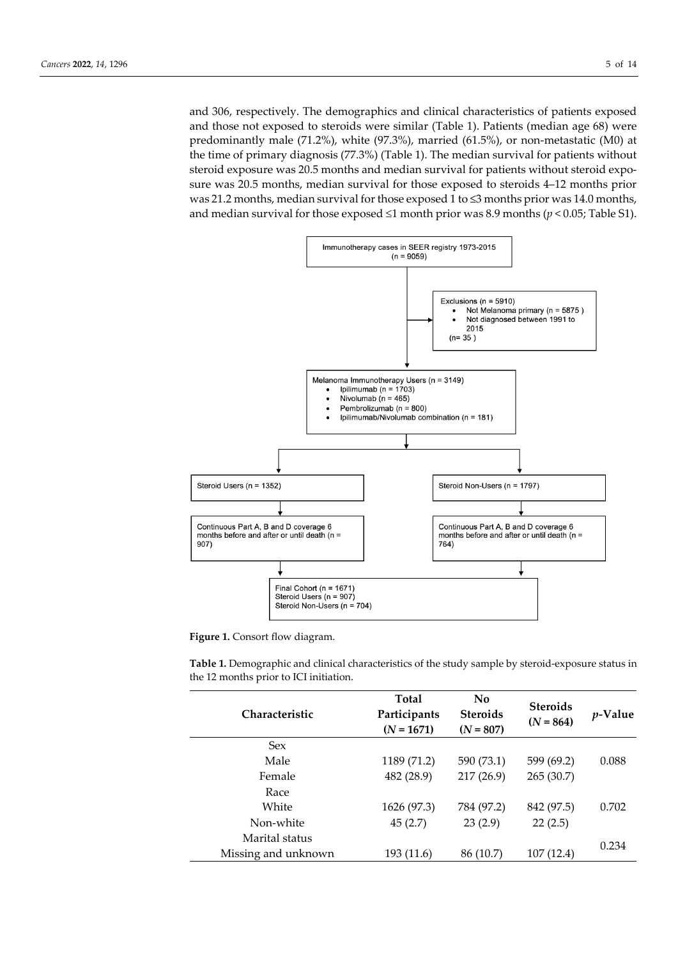and 306, respectively. The demographics and clinical characteristics of patients exposed and those not exposed to steroids were similar (Table 1). Patients (median age 68) were predominantly male (71.2%), white (97.3%), married (61.5%), or non-metastatic (M0) at the time of primary diagnosis (77.3%) (Table 1). The median survival for patients without steroid exposure was 20.5 months and median survival for patients without steroid exposure was 20.5 months, median survival for those exposed to steroids 4–12 months prior was 21.2 months, median survival for those exposed 1 to ≤3 months prior was 14.0 months, and median survival for those exposed ≤1 month prior was 8.9 months (*p* < 0.05; Table S1).





**Table 1.** Demographic and clinical characteristics of the study sample by steroid-exposure status in the 12 months prior to ICI initiation.

| <b>Steroids</b><br>Participants<br><b>Steroids</b><br><b>Characteristic</b><br><i>p</i> -Value<br>$(N = 864)$<br>$(N = 1671)$<br>$(N = 807)$ |  |
|----------------------------------------------------------------------------------------------------------------------------------------------|--|
| <b>Sex</b>                                                                                                                                   |  |
| Male<br>1189 (71.2)<br>599 (69.2)<br>590 (73.1)<br>0.088                                                                                     |  |
| 482 (28.9)<br>217(26.9)<br>265(30.7)<br>Female                                                                                               |  |
| Race                                                                                                                                         |  |
| White<br>1626 (97.3)<br>784 (97.2)<br>842 (97.5)<br>0.702                                                                                    |  |
| 23(2.9)<br>22(2.5)<br>Non-white<br>45(2.7)                                                                                                   |  |
| Marital status<br>0.234                                                                                                                      |  |
| 107(12.4)<br>Missing and unknown<br>193 (11.6)<br>86 (10.7)                                                                                  |  |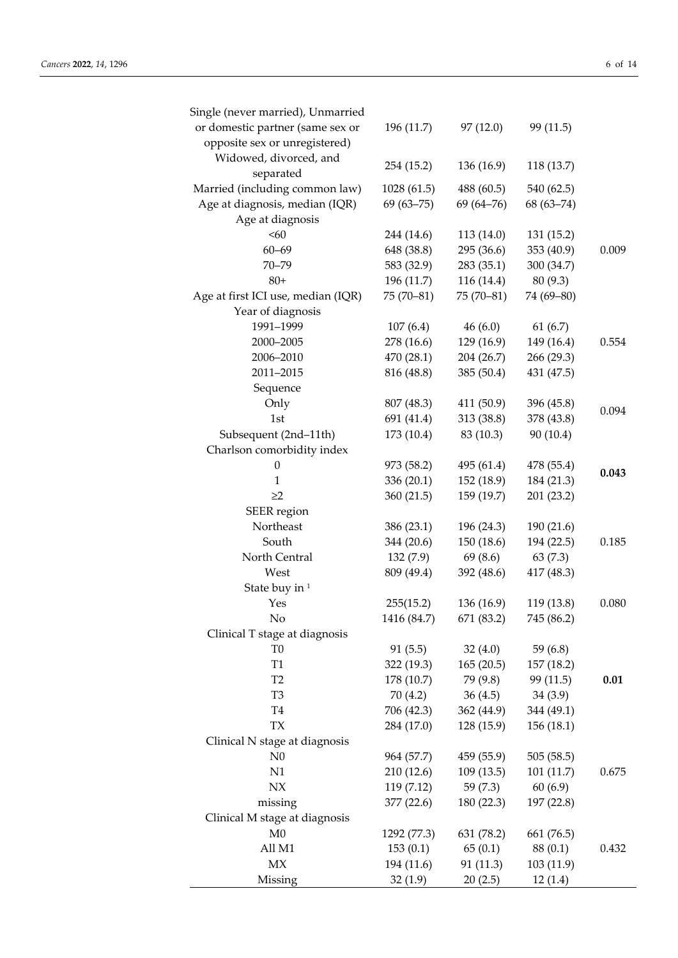| Single (never married), Unmarried  |                          |                          |                          |       |
|------------------------------------|--------------------------|--------------------------|--------------------------|-------|
| or domestic partner (same sex or   | 196 (11.7)               | 97(12.0)                 | 99 (11.5)                |       |
| opposite sex or unregistered)      |                          |                          |                          |       |
| Widowed, divorced, and             | 254 (15.2)               | 136 (16.9)               | 118 (13.7)               |       |
| separated                          |                          |                          |                          |       |
| Married (including common law)     | 1028 (61.5)              | 488 (60.5)               | 540 (62.5)               |       |
| Age at diagnosis, median (IQR)     | $69(63 - 75)$            | $69(64 - 76)$            | $68(63 - 74)$            |       |
| Age at diagnosis<br><60            |                          |                          |                          |       |
| $60 - 69$                          | 244 (14.6)               | 113 (14.0)               | 131 (15.2)               | 0.009 |
| $70 - 79$                          | 648 (38.8)<br>583 (32.9) | 295 (36.6)<br>283 (35.1) | 353 (40.9)<br>300 (34.7) |       |
| $80+$                              | 196 (11.7)               | 116 (14.4)               | 80 (9.3)                 |       |
| Age at first ICI use, median (IQR) | $75(70-81)$              | $75(70-81)$              | 74 (69-80)               |       |
| Year of diagnosis                  |                          |                          |                          |       |
| 1991-1999                          | 107(6.4)                 | 46(6.0)                  | 61(6.7)                  |       |
| 2000-2005                          | 278 (16.6)               | 129 (16.9)               | 149 (16.4)               | 0.554 |
| 2006-2010                          | 470 (28.1)               | 204 (26.7)               | 266 (29.3)               |       |
| 2011-2015                          | 816 (48.8)               | 385 (50.4)               | 431 (47.5)               |       |
| Sequence                           |                          |                          |                          |       |
| Only                               | 807 (48.3)               | 411 (50.9)               | 396 (45.8)               |       |
| 1st                                | 691 (41.4)               | 313 (38.8)               | 378 (43.8)               | 0.094 |
| Subsequent (2nd-11th)              | 173 (10.4)               | 83 (10.3)                | 90 (10.4)                |       |
| Charlson comorbidity index         |                          |                          |                          |       |
| $\theta$                           | 973 (58.2)               | 495 (61.4)               | 478 (55.4)               |       |
| 1                                  | 336 (20.1)               | 152 (18.9)               | 184 (21.3)               | 0.043 |
| $\geq$ 2                           | 360 (21.5)               | 159 (19.7)               | 201 (23.2)               |       |
| SEER region                        |                          |                          |                          |       |
| Northeast                          | 386 (23.1)               | 196 (24.3)               | 190 (21.6)               |       |
| South                              | 344 (20.6)               | 150 (18.6)               | 194 (22.5)               | 0.185 |
| North Central                      | 132(7.9)                 | 69 (8.6)                 | 63(7.3)                  |       |
| West                               | 809 (49.4)               | 392 (48.6)               | 417 (48.3)               |       |
| State buy in <sup>1</sup>          |                          |                          |                          |       |
| Yes                                | 255(15.2)                | 136 (16.9)               | 119 (13.8)               | 0.080 |
| No                                 | 1416 (84.7)              | 671 (83.2)               | 745 (86.2)               |       |
| Clinical T stage at diagnosis      |                          |                          |                          |       |
| T <sub>0</sub>                     | 91(5.5)                  | 32(4.0)                  | 59 (6.8)                 |       |
| T1                                 | 322 (19.3)               | 165(20.5)                | 157 (18.2)               |       |
| T <sub>2</sub>                     | 178 (10.7)               | 79 (9.8)                 | 99 (11.5)                | 0.01  |
| T <sub>3</sub>                     | 70(4.2)                  | 36(4.5)                  | 34(3.9)                  |       |
| T <sub>4</sub>                     | 706 (42.3)               | 362 (44.9)               | 344 (49.1)               |       |
| <b>TX</b>                          | 284 (17.0)               | 128 (15.9)               | 156 (18.1)               |       |
| Clinical N stage at diagnosis      |                          |                          |                          |       |
| N <sub>0</sub>                     | 964 (57.7)               | 459 (55.9)               | 505 (58.5)               |       |
| N1                                 | 210 (12.6)               | 109(13.5)                | 101(11.7)                | 0.675 |
| N X                                | 119 (7.12)               | 59(7.3)                  | 60(6.9)                  |       |
| missing                            | 377 (22.6)               | 180 (22.3)               | 197 (22.8)               |       |
| Clinical M stage at diagnosis      |                          |                          |                          |       |
| M <sub>0</sub>                     | 1292 (77.3)              | 631 (78.2)               | 661 (76.5)               |       |
| All M1                             | 153(0.1)                 | 65(0.1)                  | 88 (0.1)                 | 0.432 |
| MX                                 | 194 (11.6)               | 91 (11.3)                | 103 (11.9)               |       |
| Missing                            | 32(1.9)                  | 20(2.5)                  | 12(1.4)                  |       |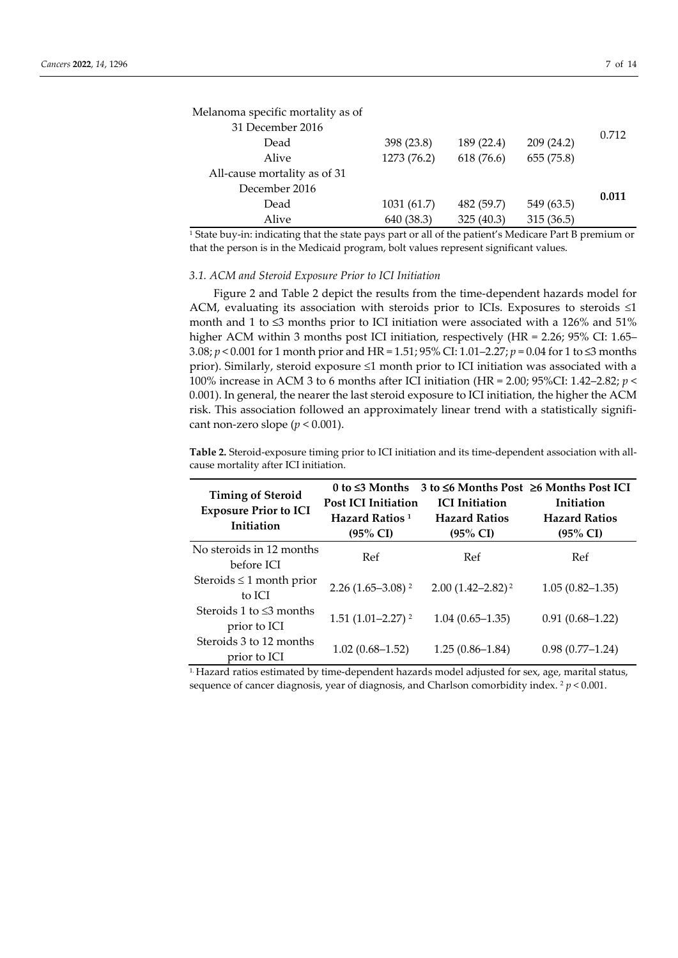| Melanoma specific mortality as of |             |            |            |       |
|-----------------------------------|-------------|------------|------------|-------|
| 31 December 2016                  |             |            |            | 0.712 |
| Dead                              | 398 (23.8)  | 189 (22.4) | 209(24.2)  |       |
| Alive                             | 1273 (76.2) | 618 (76.6) | 655 (75.8) |       |
| All-cause mortality as of 31      |             |            |            |       |
| December 2016                     |             |            |            | 0.011 |
| Dead                              | 1031 (61.7) | 482 (59.7) | 549 (63.5) |       |
| Alive                             | 640 (38.3)  | 325(40.3)  | 315(36.5)  |       |

<sup>1</sup> State buy-in: indicating that the state pays part or all of the patient's Medicare Part B premium or that the person is in the Medicaid program, bolt values represent significant values.

### *3.1. ACM and Steroid Exposure Prior to ICI Initiation*

Figure 2 and Table 2 depict the results from the time-dependent hazards model for ACM, evaluating its association with steroids prior to ICIs. Exposures to steroids  $\leq 1$ month and 1 to  $\leq$ 3 months prior to ICI initiation were associated with a 126% and 51% higher ACM within 3 months post ICI initiation, respectively (HR = 2.26; 95% CI: 1.65– 3.08; *p* < 0.001 for 1 month prior and HR = 1.51; 95% CI: 1.01–2.27; *p* = 0.04 for 1 to ≤3 months prior). Similarly, steroid exposure ≤1 month prior to ICI initiation was associated with a 100% increase in ACM 3 to 6 months after ICI initiation (HR = 2.00; 95%CI: 1.42–2.82; *p* < 0.001). In general, the nearer the last steroid exposure to ICI initiation, the higher the ACM risk. This association followed an approximately linear trend with a statistically significant non-zero slope  $(p < 0.001)$ .

**Table 2.** Steroid-exposure timing prior to ICI initiation and its time-dependent association with allcause mortality after ICI initiation.

| <b>Timing of Steroid</b><br><b>Exposure Prior to ICI</b><br>Initiation | $0$ to $\leq$ 3 Months<br><b>Post ICI Initiation</b><br>Hazard Ratios <sup>1</sup><br>$(95\% \text{ CI})$ | $3$ to $\leq 6$ Months Post $\geq 6$ Months Post ICI<br><b>ICI</b> Initiation<br><b>Hazard Ratios</b><br>$(95\% \text{ CI})$ | Initiation<br><b>Hazard Ratios</b><br>$(95\% \text{ CI})$ |
|------------------------------------------------------------------------|-----------------------------------------------------------------------------------------------------------|------------------------------------------------------------------------------------------------------------------------------|-----------------------------------------------------------|
| No steroids in 12 months<br>before ICI                                 | Ref                                                                                                       | Ref                                                                                                                          | Ref                                                       |
| Steroids $\leq 1$ month prior<br>to ICI                                | $2.26(1.65-3.08)^2$                                                                                       | $2.00(1.42 - 2.82)^2$                                                                                                        | $1.05(0.82 - 1.35)$                                       |
| Steroids 1 to $\leq$ 3 months<br>prior to ICI                          | $1.51(1.01-2.27)^2$                                                                                       | $1.04(0.65 - 1.35)$                                                                                                          | $0.91(0.68 - 1.22)$                                       |
| Steroids 3 to 12 months<br>prior to ICI                                | $1.02(0.68 - 1.52)$                                                                                       | $1.25(0.86-1.84)$                                                                                                            | $0.98(0.77-1.24)$                                         |

1. Hazard ratios estimated by time-dependent hazards model adjusted for sex, age, marital status, sequence of cancer diagnosis, year of diagnosis, and Charlson comorbidity index.  $2 p < 0.001$ .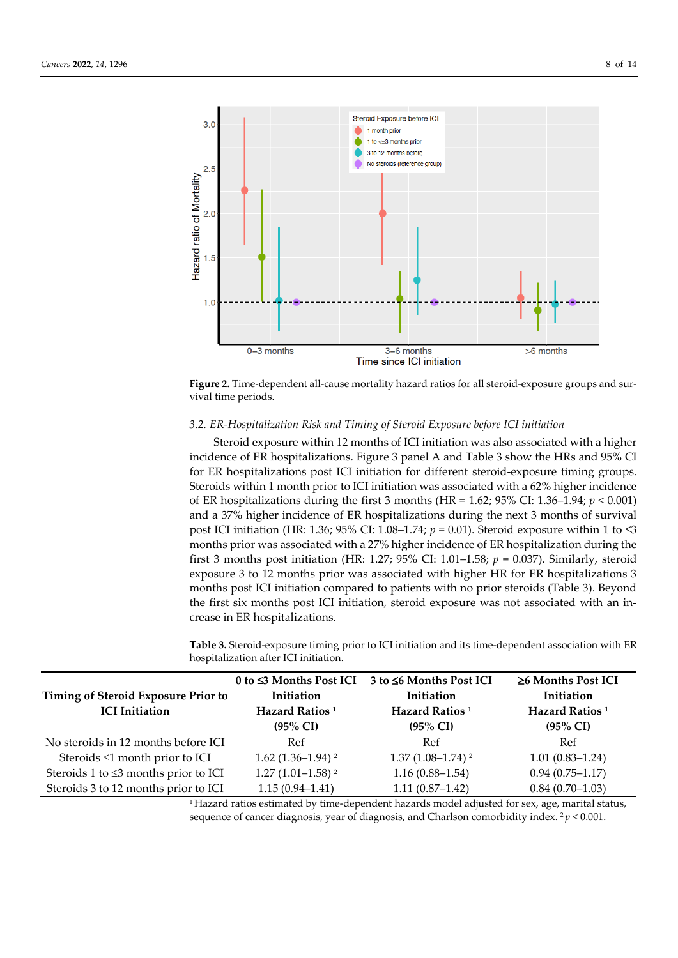

**Figure 2.** Time-dependent all-cause mortality hazard ratios for all steroid-exposure groups and survival time periods.

### *3.2. ER-Hospitalization Risk and Timing of Steroid Exposure before ICI initiation*

Steroid exposure within 12 months of ICI initiation was also associated with a higher incidence of ER hospitalizations. Figure 3 panel A and Table 3 show the HRs and 95% CI for ER hospitalizations post ICI initiation for different steroid-exposure timing groups. Steroids within 1 month prior to ICI initiation was associated with a 62% higher incidence of ER hospitalizations during the first 3 months (HR = 1.62; 95% CI: 1.36–1.94; *p* < 0.001) and a 37% higher incidence of ER hospitalizations during the next 3 months of survival post ICI initiation (HR: 1.36; 95% CI: 1.08–1.74; *p* = 0.01). Steroid exposure within 1 to ≤3 months prior was associated with a 27% higher incidence of ER hospitalization during the first 3 months post initiation (HR: 1.27; 95% CI: 1.01–1.58; *p* = 0.037). Similarly, steroid exposure 3 to 12 months prior was associated with higher HR for ER hospitalizations 3 months post ICI initiation compared to patients with no prior steroids (Table 3). Beyond the first six months post ICI initiation, steroid exposure was not associated with an increase in ER hospitalizations.

**Table 3.** Steroid-exposure timing prior to ICI initiation and its time-dependent association with ER hospitalization after ICI initiation.

| Timing of Steroid Exposure Prior to<br><b>ICI</b> Initiation | Initiation<br>Hazard Ratios <sup>1</sup><br>$(95\% \text{ CI})$ | 0 to ≤3 Months Post ICI 3 to ≤6 Months Post ICI<br>Initiation<br>Hazard Ratios <sup>1</sup><br>$(95\% \text{ CI})$ | $\geq$ 6 Months Post ICI<br>Initiation<br>Hazard Ratios <sup>1</sup><br>$(95\% \text{ CI})$ |
|--------------------------------------------------------------|-----------------------------------------------------------------|--------------------------------------------------------------------------------------------------------------------|---------------------------------------------------------------------------------------------|
| No steroids in 12 months before ICI                          | Ref                                                             | Ref                                                                                                                | Ref                                                                                         |
| Steroids $\leq 1$ month prior to ICI                         | $1.62(1.36-1.94)^2$                                             | $1.37(1.08 - 1.74)^2$                                                                                              | $1.01(0.83 - 1.24)$                                                                         |
| Steroids 1 to $\leq$ 3 months prior to ICI                   | $1.27(1.01-1.58)^2$                                             | $1.16(0.88 - 1.54)$                                                                                                | $0.94(0.75 - 1.17)$                                                                         |
| Steroids 3 to 12 months prior to ICI                         | $1.15(0.94 - 1.41)$                                             | $1.11(0.87 - 1.42)$                                                                                                | $0.84(0.70-1.03)$                                                                           |

<sup>1</sup> Hazard ratios estimated by time-dependent hazards model adjusted for sex, age, marital status, sequence of cancer diagnosis, year of diagnosis, and Charlson comorbidity index. <sup>2</sup>*p* < 0.001.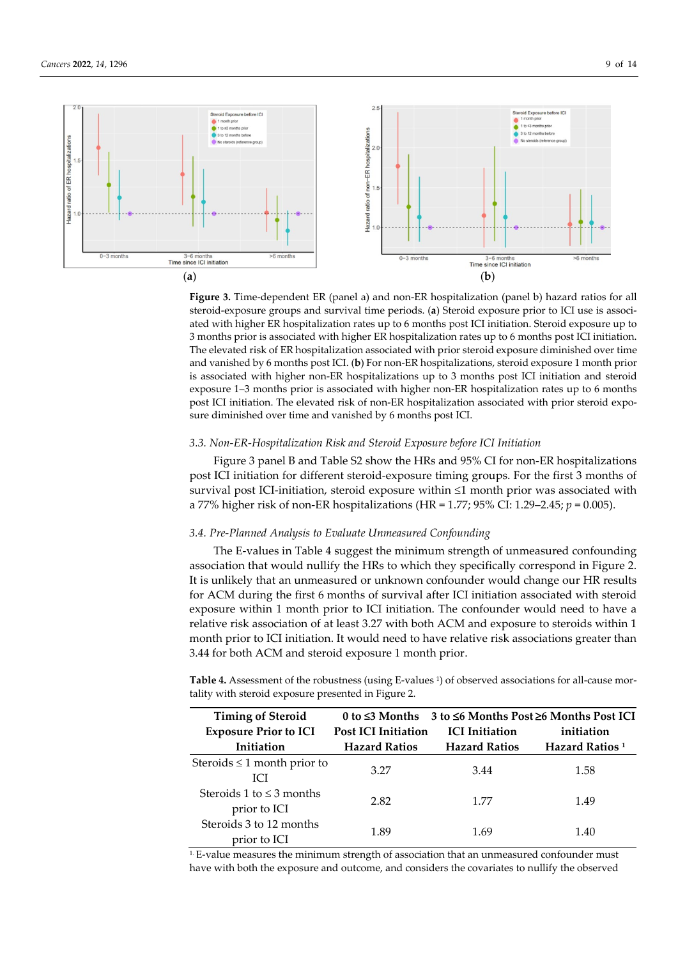

**Figure 3.** Time-dependent ER (panel a) and non-ER hospitalization (panel b) hazard ratios for all steroid-exposure groups and survival time periods. (**a**) Steroid exposure prior to ICI use is associated with higher ER hospitalization rates up to 6 months post ICI initiation. Steroid exposure up to 3 months prior is associated with higher ER hospitalization rates up to 6 months post ICI initiation. The elevated risk of ER hospitalization associated with prior steroid exposure diminished over time and vanished by 6 months post ICI. (**b**) For non-ER hospitalizations, steroid exposure 1 month prior is associated with higher non-ER hospitalizations up to 3 months post ICI initiation and steroid exposure 1–3 months prior is associated with higher non-ER hospitalization rates up to 6 months post ICI initiation. The elevated risk of non-ER hospitalization associated with prior steroid exposure diminished over time and vanished by 6 months post ICI.

### *3.3. Non-ER-Hospitalization Risk and Steroid Exposure before ICI Initiation*

Figure 3 panel B and Table S2 show the HRs and 95% CI for non-ER hospitalizations post ICI initiation for different steroid-exposure timing groups. For the first 3 months of survival post ICI-initiation, steroid exposure within ≤1 month prior was associated with a 77% higher risk of non-ER hospitalizations (HR = 1.77; 95% CI: 1.29–2.45; *p* = 0.005).

# *3.4. Pre-Planned Analysis to Evaluate Unmeasured Confounding*

The E-values in Table 4 suggest the minimum strength of unmeasured confounding association that would nullify the HRs to which they specifically correspond in Figure 2. It is unlikely that an unmeasured or unknown confounder would change our HR results for ACM during the first 6 months of survival after ICI initiation associated with steroid exposure within 1 month prior to ICI initiation. The confounder would need to have a relative risk association of at least 3.27 with both ACM and exposure to steroids within 1 month prior to ICI initiation. It would need to have relative risk associations greater than 3.44 for both ACM and steroid exposure 1 month prior.

Table 4. Assessment of the robustness (using E-values <sup>1</sup>) of observed associations for all-cause mortality with steroid exposure presented in Figure 2.

| <b>Timing of Steroid</b>                       | 0 to $\leq$ 3 Months       |                       | 3 to $\leq 6$ Months Post $\geq 6$ Months Post ICI |
|------------------------------------------------|----------------------------|-----------------------|----------------------------------------------------|
| <b>Exposure Prior to ICI</b>                   | <b>Post ICI Initiation</b> | <b>ICI</b> Initiation | initiation                                         |
| Initiation                                     | <b>Hazard Ratios</b>       | <b>Hazard Ratios</b>  | Hazard Ratios <sup>1</sup>                         |
| Steroids $\leq 1$ month prior to<br><b>ICI</b> | 3.27                       | 3.44                  | 1.58                                               |
| Steroids 1 to $\leq$ 3 months<br>prior to ICI  | 2.82                       | 1.77                  | 1.49                                               |
| Steroids 3 to 12 months<br>prior to ICI        | 1.89                       | 1.69                  | 1.40                                               |

 $1.$  E-value measures the minimum strength of association that an unmeasured confounder must have with both the exposure and outcome, and considers the covariates to nullify the observed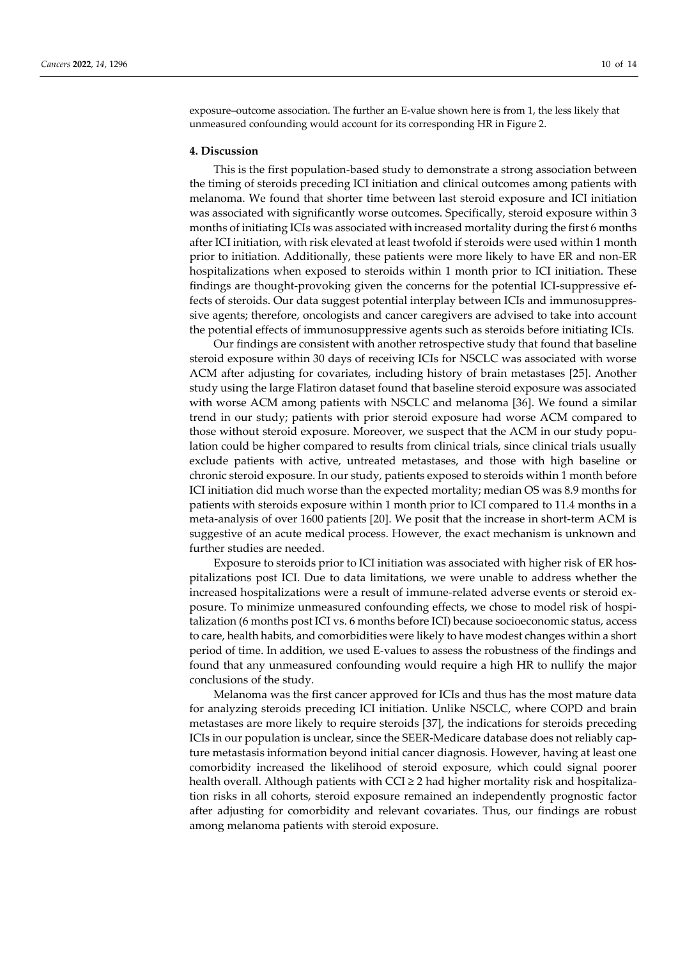exposure–outcome association. The further an E-value shown here is from 1, the less likely that unmeasured confounding would account for its corresponding HR in Figure 2.

#### **4. Discussion**

This is the first population-based study to demonstrate a strong association between the timing of steroids preceding ICI initiation and clinical outcomes among patients with melanoma. We found that shorter time between last steroid exposure and ICI initiation was associated with significantly worse outcomes. Specifically, steroid exposure within 3 months of initiating ICIs was associated with increased mortality during the first 6 months after ICI initiation, with risk elevated at least twofold if steroids were used within 1 month prior to initiation. Additionally, these patients were more likely to have ER and non-ER hospitalizations when exposed to steroids within 1 month prior to ICI initiation. These findings are thought-provoking given the concerns for the potential ICI-suppressive effects of steroids. Our data suggest potential interplay between ICIs and immunosuppressive agents; therefore, oncologists and cancer caregivers are advised to take into account the potential effects of immunosuppressive agents such as steroids before initiating ICIs.

Our findings are consistent with another retrospective study that found that baseline steroid exposure within 30 days of receiving ICIs for NSCLC was associated with worse ACM after adjusting for covariates, including history of brain metastases [25]. Another study using the large Flatiron dataset found that baseline steroid exposure was associated with worse ACM among patients with NSCLC and melanoma [36]. We found a similar trend in our study; patients with prior steroid exposure had worse ACM compared to those without steroid exposure. Moreover, we suspect that the ACM in our study population could be higher compared to results from clinical trials, since clinical trials usually exclude patients with active, untreated metastases, and those with high baseline or chronic steroid exposure. In our study, patients exposed to steroids within 1 month before ICI initiation did much worse than the expected mortality; median OS was 8.9 months for patients with steroids exposure within 1 month prior to ICI compared to 11.4 months in a meta-analysis of over 1600 patients [20]. We posit that the increase in short-term ACM is suggestive of an acute medical process. However, the exact mechanism is unknown and further studies are needed.

Exposure to steroids prior to ICI initiation was associated with higher risk of ER hospitalizations post ICI. Due to data limitations, we were unable to address whether the increased hospitalizations were a result of immune-related adverse events or steroid exposure. To minimize unmeasured confounding effects, we chose to model risk of hospitalization (6 months post ICI vs. 6 months before ICI) because socioeconomic status, access to care, health habits, and comorbidities were likely to have modest changes within a short period of time. In addition, we used E-values to assess the robustness of the findings and found that any unmeasured confounding would require a high HR to nullify the major conclusions of the study.

Melanoma was the first cancer approved for ICIs and thus has the most mature data for analyzing steroids preceding ICI initiation. Unlike NSCLC, where COPD and brain metastases are more likely to require steroids [37], the indications for steroids preceding ICIs in our population is unclear, since the SEER-Medicare database does not reliably capture metastasis information beyond initial cancer diagnosis. However, having at least one comorbidity increased the likelihood of steroid exposure, which could signal poorer health overall. Although patients with CCI  $\geq$  2 had higher mortality risk and hospitalization risks in all cohorts, steroid exposure remained an independently prognostic factor after adjusting for comorbidity and relevant covariates. Thus, our findings are robust among melanoma patients with steroid exposure.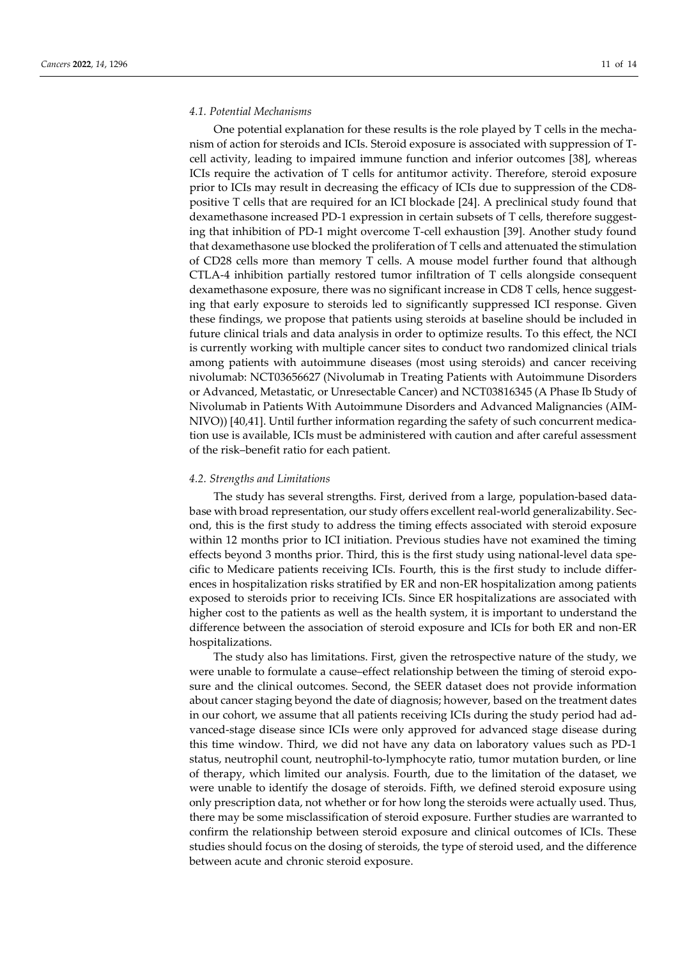#### *4.1. Potential Mechanisms*

One potential explanation for these results is the role played by T cells in the mechanism of action for steroids and ICIs. Steroid exposure is associated with suppression of Tcell activity, leading to impaired immune function and inferior outcomes [38], whereas ICIs require the activation of T cells for antitumor activity. Therefore, steroid exposure prior to ICIs may result in decreasing the efficacy of ICIs due to suppression of the CD8 positive T cells that are required for an ICI blockade [24]. A preclinical study found that dexamethasone increased PD-1 expression in certain subsets of T cells, therefore suggesting that inhibition of PD-1 might overcome T-cell exhaustion [39]. Another study found that dexamethasone use blocked the proliferation of T cells and attenuated the stimulation of CD28 cells more than memory T cells. A mouse model further found that although CTLA-4 inhibition partially restored tumor infiltration of T cells alongside consequent dexamethasone exposure, there was no significant increase in CD8 T cells, hence suggesting that early exposure to steroids led to significantly suppressed ICI response. Given these findings, we propose that patients using steroids at baseline should be included in future clinical trials and data analysis in order to optimize results. To this effect, the NCI is currently working with multiple cancer sites to conduct two randomized clinical trials among patients with autoimmune diseases (most using steroids) and cancer receiving nivolumab: NCT03656627 (Nivolumab in Treating Patients with Autoimmune Disorders or Advanced, Metastatic, or Unresectable Cancer) and NCT03816345 (A Phase Ib Study of Nivolumab in Patients With Autoimmune Disorders and Advanced Malignancies (AIM-NIVO)) [40,41]. Until further information regarding the safety of such concurrent medication use is available, ICIs must be administered with caution and after careful assessment of the risk–benefit ratio for each patient.

### *4.2. Strengths and Limitations*

The study has several strengths. First, derived from a large, population-based database with broad representation, our study offers excellent real-world generalizability. Second, this is the first study to address the timing effects associated with steroid exposure within 12 months prior to ICI initiation. Previous studies have not examined the timing effects beyond 3 months prior. Third, this is the first study using national-level data specific to Medicare patients receiving ICIs. Fourth, this is the first study to include differences in hospitalization risks stratified by ER and non-ER hospitalization among patients exposed to steroids prior to receiving ICIs. Since ER hospitalizations are associated with higher cost to the patients as well as the health system, it is important to understand the difference between the association of steroid exposure and ICIs for both ER and non-ER hospitalizations.

The study also has limitations. First, given the retrospective nature of the study, we were unable to formulate a cause–effect relationship between the timing of steroid exposure and the clinical outcomes. Second, the SEER dataset does not provide information about cancer staging beyond the date of diagnosis; however, based on the treatment dates in our cohort, we assume that all patients receiving ICIs during the study period had advanced-stage disease since ICIs were only approved for advanced stage disease during this time window. Third, we did not have any data on laboratory values such as PD-1 status, neutrophil count, neutrophil-to-lymphocyte ratio, tumor mutation burden, or line of therapy, which limited our analysis. Fourth, due to the limitation of the dataset, we were unable to identify the dosage of steroids. Fifth, we defined steroid exposure using only prescription data, not whether or for how long the steroids were actually used. Thus, there may be some misclassification of steroid exposure. Further studies are warranted to confirm the relationship between steroid exposure and clinical outcomes of ICIs. These studies should focus on the dosing of steroids, the type of steroid used, and the difference between acute and chronic steroid exposure.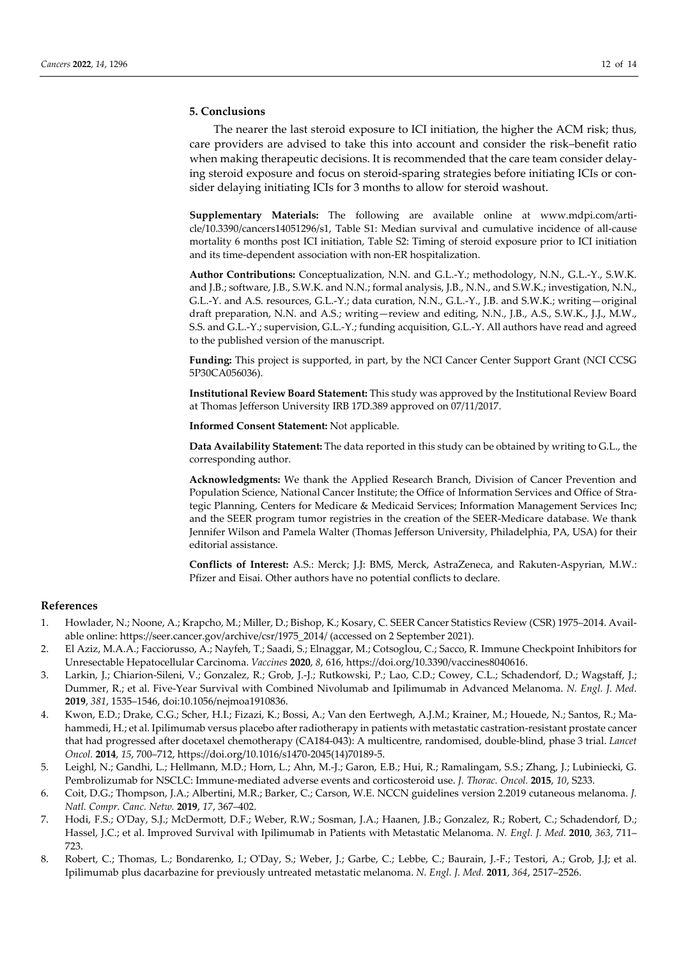# **5. Conclusions**

The nearer the last steroid exposure to ICI initiation, the higher the ACM risk; thus, care providers are advised to take this into account and consider the risk–benefit ratio when making therapeutic decisions. It is recommended that the care team consider delaying steroid exposure and focus on steroid-sparing strategies before initiating ICIs or consider delaying initiating ICIs for 3 months to allow for steroid washout.

**Supplementary Materials:** The following are available online at www.mdpi.com/article/10.3390/cancers14051296/s1, Table S1: Median survival and cumulative incidence of all-cause mortality 6 months post ICI initiation, Table S2: Timing of steroid exposure prior to ICI initiation and its time-dependent association with non-ER hospitalization.

**Author Contributions:** Conceptualization, N.N. and G.L.-Y.; methodology, N.N., G.L.-Y., S.W.K. and J.B.; software, J.B., S.W.K. and N.N.; formal analysis, J.B., N.N., and S.W.K.; investigation, N.N., G.L.-Y. and A.S. resources, G.L.-Y.; data curation, N.N., G.L.-Y., J.B. and S.W.K.; writing—original draft preparation, N.N. and A.S.; writing—review and editing, N.N., J.B., A.S., S.W.K., J.J., M.W., S.S. and G.L.-Y.; supervision, G.L.-Y.; funding acquisition, G.L.-Y. All authors have read and agreed to the published version of the manuscript.

**Funding:** This project is supported, in part, by the NCI Cancer Center Support Grant (NCI CCSG 5P30CA056036).

**Institutional Review Board Statement:** This study was approved by the Institutional Review Board at Thomas Jefferson University IRB 17D.389 approved on 07/11/2017.

**Informed Consent Statement:** Not applicable.

**Data Availability Statement:** The data reported in this study can be obtained by writing to G.L., the corresponding author.

**Acknowledgments:** We thank the Applied Research Branch, Division of Cancer Prevention and Population Science, National Cancer Institute; the Office of Information Services and Office of Strategic Planning, Centers for Medicare & Medicaid Services; Information Management Services Inc; and the SEER program tumor registries in the creation of the SEER-Medicare database. We thank Jennifer Wilson and Pamela Walter (Thomas Jefferson University, Philadelphia, PA, USA) for their editorial assistance.

**Conflicts of Interest:** A.S.: Merck; J.J: BMS, Merck, AstraZeneca, and Rakuten-Aspyrian, M.W.: Pfizer and Eisai. Other authors have no potential conflicts to declare.

#### **References**

- 1. Howlader, N.; Noone, A.; Krapcho, M.; Miller, D.; Bishop, K.; Kosary, C. SEER Cancer Statistics Review (CSR) 1975–2014. Available online: https://seer.cancer.gov/archive/csr/1975\_2014/ (accessed on 2 September 2021).
- 2. El Aziz, M.A.A.; Facciorusso, A.; Nayfeh, T.; Saadi, S.; Elnaggar, M.; Cotsoglou, C.; Sacco, R. Immune Checkpoint Inhibitors for Unresectable Hepatocellular Carcinoma. *Vaccines* **2020**, *8*, 616, https://doi.org/10.3390/vaccines8040616.
- 3. Larkin, J.; Chiarion-Sileni, V.; Gonzalez, R.; Grob, J.-J.; Rutkowski, P.; Lao, C.D.; Cowey, C.L.; Schadendorf, D.; Wagstaff, J.; Dummer, R.; et al. Five-Year Survival with Combined Nivolumab and Ipilimumab in Advanced Melanoma. *N. Engl. J. Med.* **2019**, *381*, 1535–1546, doi:10.1056/nejmoa1910836.
- 4. Kwon, E.D.; Drake, C.G.; Scher, H.I.; Fizazi, K.; Bossi, A.; Van den Eertwegh, A.J.M.; Krainer, M.; Houede, N.; Santos, R.; Mahammedi, H.; et al. Ipilimumab versus placebo after radiotherapy in patients with metastatic castration-resistant prostate cancer that had progressed after docetaxel chemotherapy (CA184-043): A multicentre, randomised, double-blind, phase 3 trial. *Lancet Oncol.* **2014**, *15*, 700–712, https://doi.org/10.1016/s1470-2045(14)70189-5.
- 5. Leighl, N.; Gandhi, L.; Hellmann, M.D.; Horn, L.; Ahn, M.-J.; Garon, E.B.; Hui, R.; Ramalingam, S.S.; Zhang, J.; Lubiniecki, G. Pembrolizumab for NSCLC: Immune-mediated adverse events and corticosteroid use. *J. Thorac. Oncol.* **2015**, *10*, S233.
- 6. Coit, D.G.; Thompson, J.A.; Albertini, M.R.; Barker, C.; Carson, W.E. NCCN guidelines version 2.2019 cutaneous melanoma. *J. Natl. Compr. Canc. Netw.* **2019**, *17*, 367–402.
- 7. Hodi, F.S.; O'Day, S.J.; McDermott, D.F.; Weber, R.W.; Sosman, J.A.; Haanen, J.B.; Gonzalez, R.; Robert, C.; Schadendorf, D.; Hassel, J.C.; et al. Improved Survival with Ipilimumab in Patients with Metastatic Melanoma. *N. Engl. J. Med.* **2010**, *363*, 711– 723.
- 8. Robert, C.; Thomas, L.; Bondarenko, I.; O'Day, S.; Weber, J.; Garbe, C.; Lebbe, C.; Baurain, J.-F.; Testori, A.; Grob, J.J; et al. Ipilimumab plus dacarbazine for previously untreated metastatic melanoma. *N. Engl. J. Med.* **2011**, *364*, 2517–2526.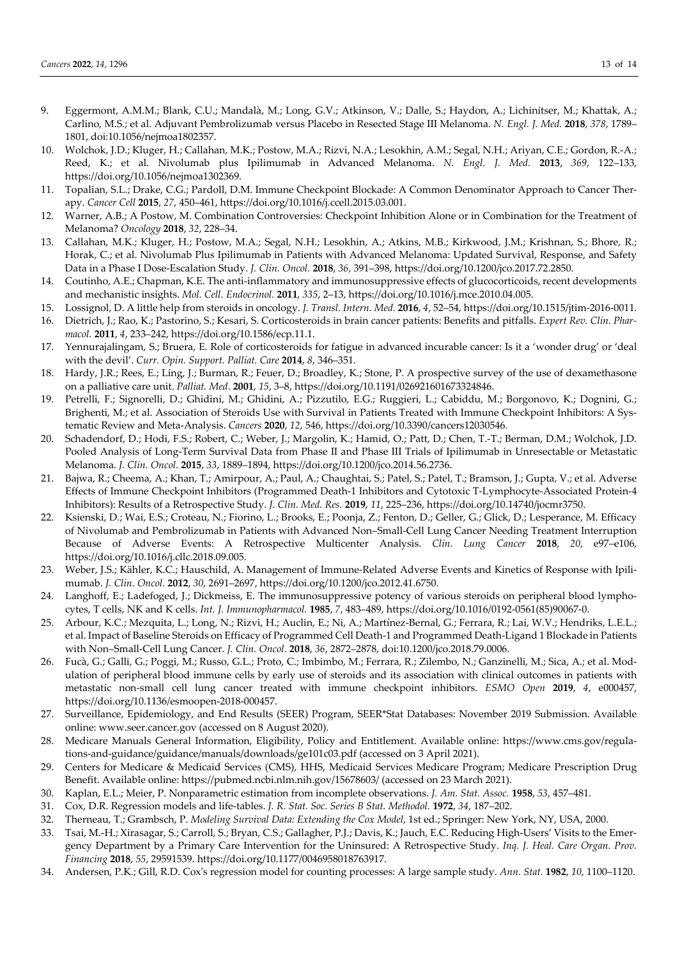- 9. Eggermont, A.M.M.; Blank, C.U.; Mandalà, M.; Long, G.V.; Atkinson, V.; Dalle, S.; Haydon, A.; Lichinitser, M.; Khattak, A.; Carlino, M.S.; et al. Adjuvant Pembrolizumab versus Placebo in Resected Stage III Melanoma. *N. Engl. J. Med.* **2018**, *378*, 1789– 1801, doi:10.1056/nejmoa1802357.
- 10. Wolchok, J.D.; Kluger, H.; Callahan, M.K.; Postow, M.A.; Rizvi, N.A.; Lesokhin, A.M.; Segal, N.H.; Ariyan, C.E.; Gordon, R.-A.; Reed, K.; et al. Nivolumab plus Ipilimumab in Advanced Melanoma. *N. Engl. J. Med.* **2013**, *369*, 122–133, https://doi.org/10.1056/nejmoa1302369.
- 11. Topalian, S.L.; Drake, C.G.; Pardoll, D.M. Immune Checkpoint Blockade: A Common Denominator Approach to Cancer Therapy. *Cancer Cell* **2015**, *27*, 450–461, https://doi.org/10.1016/j.ccell.2015.03.001.
- 12. Warner, A.B.; A Postow, M. Combination Controversies: Checkpoint Inhibition Alone or in Combination for the Treatment of Melanoma? *Oncology* **2018**, *32*, 228–34.
- 13. Callahan, M.K.; Kluger, H.; Postow, M.A.; Segal, N.H.; Lesokhin, A.; Atkins, M.B.; Kirkwood, J.M.; Krishnan, S.; Bhore, R.; Horak, C.; et al. Nivolumab Plus Ipilimumab in Patients with Advanced Melanoma: Updated Survival, Response, and Safety Data in a Phase I Dose-Escalation Study. *J. Clin. Oncol.* **2018**, *36*, 391–398, https://doi.org/10.1200/jco.2017.72.2850.
- 14. Coutinho, A.E.; Chapman, K.E. The anti-inflammatory and immunosuppressive effects of glucocorticoids, recent developments and mechanistic insights. *Mol. Cell. Endocrinol.* **2011**, *335*, 2–13, https://doi.org/10.1016/j.mce.2010.04.005.
- 15. Lossignol, D. A little help from steroids in oncology. *J. Transl. Intern. Med.* **2016**, *4*, 52–54, https://doi.org/10.1515/jtim-2016-0011.
- 16. Dietrich, J.; Rao, K.; Pastorino, S.; Kesari, S. Corticosteroids in brain cancer patients: Benefits and pitfalls. *Expert Rev. Clin. Pharmacol.* **2011**, *4*, 233–242, https://doi.org/10.1586/ecp.11.1.
- 17. Yennurajalingam, S.; Bruera, E. Role of corticosteroids for fatigue in advanced incurable cancer: Is it a 'wonder drug' or 'deal with the devil'. *Curr. Opin. Support. Palliat. Care* **2014**, *8*, 346–351.
- 18. Hardy, J.R.; Rees, E.; Ling, J.; Burman, R.; Feuer, D.; Broadley, K.; Stone, P. A prospective survey of the use of dexamethasone on a palliative care unit. *Palliat. Med.* **2001**, *15*, 3–8, https://doi.org/10.1191/026921601673324846.
- 19. Petrelli, F.; Signorelli, D.; Ghidini, M.; Ghidini, A.; Pizzutilo, E.G.; Ruggieri, L.; Cabiddu, M.; Borgonovo, K.; Dognini, G.; Brighenti, M.; et al. Association of Steroids Use with Survival in Patients Treated with Immune Checkpoint Inhibitors: A Systematic Review and Meta-Analysis. *Cancers* **2020**, *12*, 546, https://doi.org/10.3390/cancers12030546.
- 20. Schadendorf, D.; Hodi, F.S.; Robert, C.; Weber, J.; Margolin, K.; Hamid, O.; Patt, D.; Chen, T.-T.; Berman, D.M.; Wolchok, J.D. Pooled Analysis of Long-Term Survival Data from Phase II and Phase III Trials of Ipilimumab in Unresectable or Metastatic Melanoma. *J. Clin. Oncol.* **2015**, *33*, 1889–1894, https://doi.org/10.1200/jco.2014.56.2736.
- 21. Bajwa, R.; Cheema, A.; Khan, T.; Amirpour, A.; Paul, A.; Chaughtai, S.; Patel, S.; Patel, T.; Bramson, J.; Gupta, V.; et al. Adverse Effects of Immune Checkpoint Inhibitors (Programmed Death-1 Inhibitors and Cytotoxic T-Lymphocyte-Associated Protein-4 Inhibitors): Results of a Retrospective Study. *J. Clin. Med. Res.* **2019**, *11*, 225–236, https://doi.org/10.14740/jocmr3750.
- 22. Ksienski, D.; Wai, E.S.; Croteau, N.; Fiorino, L.; Brooks, E.; Poonja, Z.; Fenton, D.; Geller, G.; Glick, D.; Lesperance, M. Efficacy of Nivolumab and Pembrolizumab in Patients with Advanced Non–Small-Cell Lung Cancer Needing Treatment Interruption Because of Adverse Events: A Retrospective Multicenter Analysis. *Clin. Lung Cancer* **2018**, *20*, e97–e106, https://doi.org/10.1016/j.cllc.2018.09.005.
- 23. Weber, J.S.; Kähler, K.C.; Hauschild, A. Management of Immune-Related Adverse Events and Kinetics of Response with Ipilimumab. *J. Clin. Oncol.* **2012**, *30*, 2691–2697, https://doi.org/10.1200/jco.2012.41.6750.
- 24. Langhoff, E.; Ladefoged, J.; Dickmeiss, E. The immunosuppressive potency of various steroids on peripheral blood lymphocytes, T cells, NK and K cells. *Int. J. Immunopharmacol.* **1985**, *7*, 483–489, https://doi.org/10.1016/0192-0561(85)90067-0.
- 25. Arbour, K.C.; Mezquita, L.; Long, N.; Rizvi, H.; Auclin, E.; Ni, A.; Martínez-Bernal, G.; Ferrara, R.; Lai, W.V.; Hendriks, L.E.L.; et al. Impact of Baseline Steroids on Efficacy of Programmed Cell Death-1 and Programmed Death-Ligand 1 Blockade in Patients with Non–Small-Cell Lung Cancer. *J. Clin. Oncol.* **2018**, *36*, 2872–2878, doi:10.1200/jco.2018.79.0006.
- 26. Fucà, G.; Galli, G.; Poggi, M.; Russo, G.L.; Proto, C.; Imbimbo, M.; Ferrara, R.; Zilembo, N.; Ganzinelli, M.; Sica, A.; et al. Modulation of peripheral blood immune cells by early use of steroids and its association with clinical outcomes in patients with metastatic non-small cell lung cancer treated with immune checkpoint inhibitors. *ESMO Open* **2019**, *4*, e000457, https://doi.org/10.1136/esmoopen-2018-000457.
- 27. Surveillance, Epidemiology, and End Results (SEER) Program, SEER\*Stat Databases: November 2019 Submission. Available online: www.seer.cancer.gov (accessed on 8 August 2020).
- 28. Medicare Manuals General Information, Eligibility, Policy and Entitlement. Available online: https://www.cms.gov/regulations-and-guidance/guidance/manuals/downloads/ge101c03.pdf (accessed on 3 April 2021).
- 29. Centers for Medicare & Medicaid Services (CMS), HHS, Medicaid Services Medicare Program; Medicare Prescription Drug Benefit. Available online: https://pubmed.ncbi.nlm.nih.gov/15678603/ (accessed on 23 March 2021).
- 30. Kaplan, E.L.; Meier, P. Nonparametric estimation from incomplete observations. *J. Am. Stat. Assoc.* **1958**, *53*, 457–481.
- 31. Cox, D.R. Regression models and life-tables. *J. R. Stat. Soc. Series B Stat. Methodol.* **1972**, *34*, 187–202.
- 32. Therneau, T.; Grambsch, P. *Modeling Survival Data: Extending the Cox Model*, 1st ed.; Springer: New York, NY, USA, 2000.
- 33. Tsai, M.-H.; Xirasagar, S.; Carroll, S.; Bryan, C.S.; Gallagher, P.J.; Davis, K.; Jauch, E.C. Reducing High-Users' Visits to the Emergency Department by a Primary Care Intervention for the Uninsured: A Retrospective Study. *Inq. J. Heal. Care Organ. Prov. Financing* **2018**, *55*, 29591539. https://doi.org/10.1177/0046958018763917.
- 34. Andersen, P.K.; Gill, R.D. Cox's regression model for counting processes: A large sample study. *Ann. Stat.* **1982**, *10*, 1100–1120.